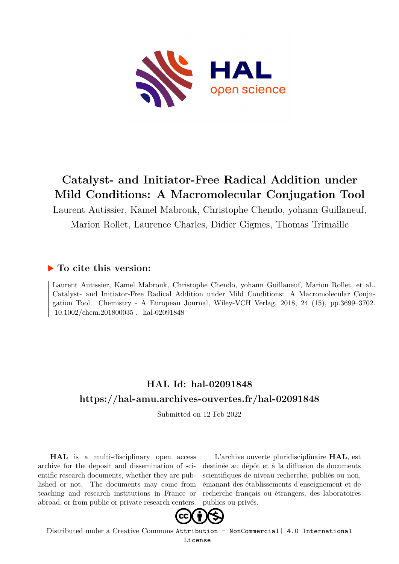

# **Catalyst- and Initiator-Free Radical Addition under Mild Conditions: A Macromolecular Conjugation Tool**

Laurent Autissier, Kamel Mabrouk, Christophe Chendo, yohann Guillaneuf, Marion Rollet, Laurence Charles, Didier Gigmes, Thomas Trimaille

#### **To cite this version:**

Laurent Autissier, Kamel Mabrouk, Christophe Chendo, yohann Guillaneuf, Marion Rollet, et al.. Catalyst- and Initiator-Free Radical Addition under Mild Conditions: A Macromolecular Conjugation Tool. Chemistry - A European Journal, Wiley-VCH Verlag, 2018, 24 (15), pp.3699–3702.  $10.1002$ /chem.201800035. hal-02091848

## **HAL Id: hal-02091848 <https://hal-amu.archives-ouvertes.fr/hal-02091848>**

Submitted on 12 Feb 2022

**HAL** is a multi-disciplinary open access archive for the deposit and dissemination of scientific research documents, whether they are published or not. The documents may come from teaching and research institutions in France or abroad, or from public or private research centers.

L'archive ouverte pluridisciplinaire **HAL**, est destinée au dépôt et à la diffusion de documents scientifiques de niveau recherche, publiés ou non, émanant des établissements d'enseignement et de recherche français ou étrangers, des laboratoires publics ou privés.



Distributed under a Creative Commons [Attribution - NonCommercial| 4.0 International](http://creativecommons.org/licenses/by-nc/4.0/) [License](http://creativecommons.org/licenses/by-nc/4.0/)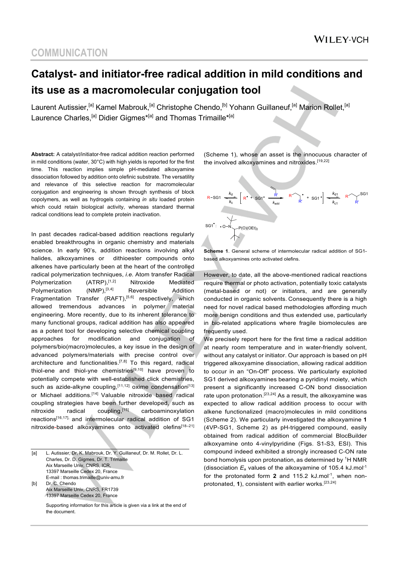## **COMMUNICATION**

# **Catalyst- and initiator-free radical addition in mild conditions and its use as a macromolecular conjugation tool**

Laurent Autissier,<sup>[a]</sup> Kamel Mabrouk,<sup>[a]</sup> Christophe Chendo,<sup>[b]</sup> Yohann Guillaneuf,<sup>[a]</sup> Marion Rollet,<sup>[a]</sup> Laurence Charles,<sup>[a]</sup> Didier Gigmes<sup>\*[a]</sup> and Thomas Trimaille<sup>\*[a]</sup>

**Abstract:** A catalyst/initiator-free radical addition reaction performed in mild conditions (water, 30°C) with high yields is reported for the first time. This reaction implies simple pH-mediated alkoxyamine dissociation followed by addition onto olefinic substrate. The versatility and relevance of this selective reaction for macromolecular conjugation and engineering is shown through synthesis of block copolymers, as well as hydrogels containing *in situ* loaded protein which could retain biological activity, whereas standard thermal radical conditions lead to complete protein inactivation.

In past decades radical-based addition reactions regularly enabled breakthroughs in organic chemistry and materials science. In early 90's, addition reactions involving alkyl halides, alkoxyamines or dithioester compounds onto alkenes have particularly been at the heart of the controlled radical polymerization techniques, *i.e.* Atom transfer Radical Polymerization (ATRP), [1,2] Nitroxide Mediated Polymerization (NMP), [3,4] Reversible Addition Fragmentation Transfer (RAFT),<sup>[5,6]</sup> respectively, which allowed tremendous advances in polymer material engineering. More recently, due to its inherent tolerance to many functional groups, radical addition has also appeared as a potent tool for developing selective chemical coupling approaches for modification and conjugation of polymers/bio(macro)molecules, a key issue in the design of advanced polymers/materials with precise control over architecture and functionalities.<sup>[7,8]</sup> To this regard, radical thiol-ene and thiol-yne chemistries<sup>[9,10]</sup> have proven to potentially compete with well-established click chemistries, such as azide-alkyne coupling, [11,12] oxime condensation<sup>[13]</sup> or Michael additions.<sup>[14]</sup> Valuable nitroxide based radical coupling strategies have been further developed, such as nitroxide radical coupling,<sup>[15]</sup> carboaminoxylation reactions[16,17], and intermolecular radical addition of SG1 nitroxide-based alkoxyamines onto activated olefins<sup>[18-21]</sup>

[a] L. Autissier, Dr, K. Mabrouk, Dr. Y. Guillaneuf, Dr. M. Rollet, Dr. L. Charles, Dr. D. Gigmes, Dr. T. Trimaille Aix Marseille Univ, CNRS, ICR, 13397 Marseille Cedex 20, France E-mail : thomas.trimaille@univ-amu.fr [b] Dr. C. Chendo Aix Marseille Univ, CNRS, FR1739 13397 Marseille Cedex 20, France

Supporting information for this article is given via a link at the end of the document.

(Scheme 1), whose an asset is the innocuous character of the involved alkoxyamines and nitroxides.<sup>[19,22]</sup>



**Scheme 1**. General scheme of intermolecular radical addition of SG1 based alkoxyamines onto activated olefins.

However, to date, all the above-mentioned radical reactions require thermal or photo activation, potentially toxic catalysts (metal-based or not) or initiators, and are generally conducted in organic solvents. Consequently there is a high need for novel radical based methodologies affording much more benign conditions and thus extended use, particularly in bio-related applications where fragile biomolecules are frequently used.

We precisely report here for the first time a radical addition at nearly room temperature and in water-friendly solvent, without any catalyst or initiator. Our approach is based on pH triggered alkoxyamine dissociation, allowing radical addition to occur in an "On-Off" process. We particularly exploited SG1 derived alkoxyamines bearing a pyridinyl moiety, which present a significantly increased C-ON bond dissociation rate upon protonation.<sup>[23,24]</sup> As a result, the alkoxyamine was expected to allow radical addition process to occur with alkene functionalized (macro)molecules in mild conditions (Scheme 2). We particularly investigated the alkoxyamine **1**  (4VP-SG1, Scheme 2) as pH-triggered compound, easily obtained from radical addition of commercial BlocBuilder alkoxyamine onto 4-vinylpyridine (Figs. S1-S3, ESI). This compound indeed exhibited a strongly increased C-ON rate bond homolysis upon protonation, as determined by <sup>1</sup>H NMR (dissociation  $E_a$  values of the alkoxyamine of 105.4 kJ.mol<sup>-1</sup> for the protonated form 2 and 115.2 kJ.mol<sup>-1</sup>, when nonprotonated, **1**), consistent with earlier works.<sup>[23,24]</sup>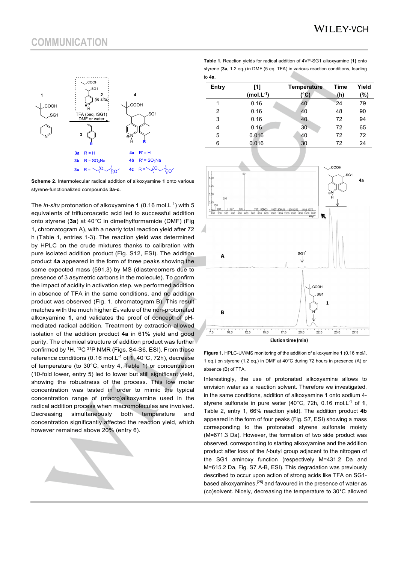#### **COMMUNICATION**



**Scheme 2**. Intermolecular radical addition of alkoxyamine **1** onto various styrene-functionalized compounds **3a-c**.

The *in-situ* protonation of alkoxyamine **1** (0.16 mol.L-1) with 5 equivalents of trifluoroacetic acid led to successful addition onto styrene (**3a**) at 40°C in dimethylformamide (DMF) (Fig 1, chromatogram A), with a nearly total reaction yield after 72 h (Table 1, entries 1-3). The reaction yield was determined by HPLC on the crude mixtures thanks to calibration with pure isolated addition product (Fig. S12, ESI). The addition product **4a** appeared in the form of three peaks showing the same expected mass (591.3) by MS (diastereomers due to presence of 3 asymetric carbons in the molecule). To confirm the impact of acidity in activation step, we performed addition in absence of TFA in the same conditions, and no addition product was observed (Fig. 1, chromatogram B). This result matches with the much higher *E*<sup>a</sup> value of the non-protonated alkoxyamine **1,** and validates the proof of concept of pHmediated radical addition. Treatment by extraction allowed isolation of the addition product **4a** in 61% yield and good purity. The chemical structure of addition product was further confirmed by  ${}^{1}$ H,  ${}^{13}$ C  ${}^{31}$ P NMR (Figs. S4-S6, ESI). From these reference conditions (0.16 mol.L-1 of **1**, 40°C, 72h), decrease of temperature (to 30°C, entry 4, Table 1) or concentration (10-fold lower, entry 5) led to lower but still significant yield, showing the robustness of the process. This low molar concentration was tested in order to mimic the typical concentration range of (macro)alkoxyamine used in the radical addition process when macromolecules are involved. Decreasing simultaneously both temperature and concentration significantly affected the reaction yield, which however remained above 20% (entry 6).

**Table 1.** Reaction yields for radical addition of 4VP-SG1 alkoxyamine (**1)** onto styrene (**3a,** 1.2 eq.) in DMF (5 eq. TFA) in various reaction conditions, leading to **4a**.

| Entry | [1]              | <b>Temperature</b> | <b>Time</b> | Yield |
|-------|------------------|--------------------|-------------|-------|
|       | (mol.L $^{-1}$ ) | (°C)               | (h)         | (%)   |
| 1     | 0.16             | 40                 | 24          | 79    |
| 2     | 0.16             | 40                 | 48          | 90    |
| 3     | 0.16             | 40                 | 72          | 94    |
| 4     | 0.16             | 30                 | 72          | 65    |
| 5     | 0.016            | 40                 | 72          | 72    |
| 6     | 0.016            | 30                 | 72          | 24    |
|       |                  |                    |             |       |



**Figure 1.** HPLC-UV/MS monitoring of the addition of alkoxyamine **1** (0.16 mol/l, 1 eq.) on styrene (1.2 eq.) in DMF at 40°C during 72 hours in presence (A) or absence (B) of TFA.

Interestingly, the use of protonated alkoxyamine allows to envision water as a reaction solvent. Therefore we investigated, in the same conditions, addition of alkoxyamine **1** onto sodium 4 styrene sulfonate in pure water (40°C, 72h, 0.16 mol.L-1 of **1**, Table 2, entry 1, 66% reaction yield). The addition product **4b** appeared in the form of four peaks (Fig. S7, ESI) showing a mass corresponding to the protonated styrene sulfonate moiety (M=671.3 Da). However, the formation of two side product was observed, corresponding to starting alkoxyamine and the addition product after loss of the *t*-butyl group adjacent to the nitrogen of the SG1 aminoxy function (respectively M=431.2 Da and M=615.2 Da, Fig. S7 A-B, ESI). This degradation was previously described to occur upon action of strong acids like TFA on SG1 based alkoxyamines,[25] and favoured in the presence of water as (co)solvent. Nicely, decreasing the temperature to 30°C allowed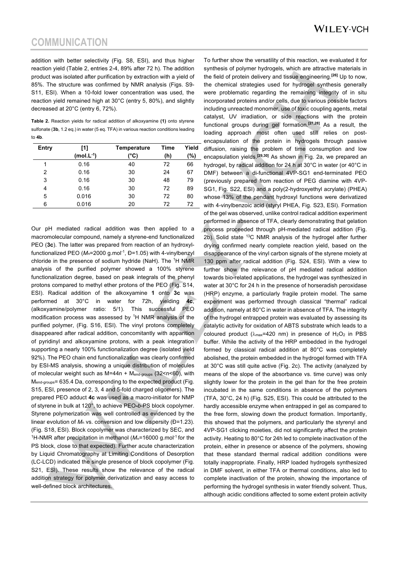addition with better selectivity (Fig. S8, ESI), and thus higher reaction yield (Table 2, entries 2-4, 89% after 72 h). The addition product was isolated after purification by extraction with a yield of 85%. The structure was confirmed by NMR analysis (Figs. S9- S11, ESI). When a 10-fold lower concentration was used, the reaction yield remained high at 30°C (entry 5, 80%), and slightly decreased at 20°C (entry 6, 72%).

**Table 2.** Reaction yields for radical addition of alkoxyamine **(1)** onto styrene sulfonate (**3b**, 1.2 eq.) in water (5 eq. TFA) in various reaction conditions leading to **4b**.

| Entry | [1]            | <b>Temperature</b> | Time | Yield |
|-------|----------------|--------------------|------|-------|
|       | $(mol.L^{-1})$ | (°C)               | (h)  | (%)   |
| 1     | 0.16           | 40                 | 72   | 66    |
| 2     | 0.16           | 30                 | 24   | 67    |
| 3     | 0.16           | 30                 | 48   | 79    |
| 4     | 0.16           | 30                 | 72   | 89    |
| 5     | 0.016          | 30                 | 72   | 80    |
| 6     | 0.016          | 20                 | 72   | 72    |

Our pH mediated radical addition was then applied to a macromolecular compound, namely a styrene-end functionalized PEO (**3c**). The latter was prepared from reaction of an hydroxylfunctionalized PEO (M<sub>n</sub>=2000 g.mol<sup>-1</sup>, Đ=1.05) with 4-vinylbenzyl chloride in the presence of sodium hydride (NaH). The <sup>1</sup>H NMR analysis of the purified polymer showed a 100% styrene functionalization degree, based on peak integrals of the phenyl protons compared to methyl ether protons of the PEO (Fig. S14, ESI). Radical addition of the alkoxyamine **1** onto **3c** was performed at 30°C in water for 72h, yielding **4c**, (alkoxyamine/polymer ratio: 5/1). This successful PEO modification process was assessed by <sup>1</sup>H NMR analysis of the purified polymer, (Fig. S16, ESI). The vinyl protons completely disappeared after radical addition, concomitantly with apparition of pyridinyl and alkoxyamine protons, with a peak integration supporting a nearly 100% functionalization degree (isolated yield 92%). The PEO chain end functionalization was clearly confirmed by ESI-MS analysis, showing a unique distribution of molecules of molecular weight such as  $M=44n + M_{end-groups}$  (32<n<60), with M<sub>end-groups</sub>= 635.4 Da, corresponding to the expected product (Fig. S15, ESI, presence of 2, 3, 4 and 5-fold charged oligomers). The prepared PEO adduct **4c** was used as a macro-initiator for NMP of styrene in bulk at 120°, to achieve PEO**-***b*-PS block copolymer. Styrene polymerization was well controlled as evidenced by the linear evolution of  $M_n$  vs. conversion and low dispersity (Đ=1.23). (Fig. S18, ESI). Block copolymer was characterized by SEC, and <sup>1</sup>H-NMR after precipitation in methanol ( $M_n$ =16000 g.mol<sup>-1</sup> for the PS block, close to that expected). Further acute characterization by Liquid Chromatography at Limiting Conditions of Desorption (LC-LCD) indicated the single presence of block copolymer (Fig. S21, ESI). These results show the relevance of the radical addition strategy for polymer derivatization and easy access to well-defined block architectures.

To further show the versatility of this reaction, we evaluated it for synthesis of polymer hydrogels, which are attractive materials in the field of protein delivery and tissue engineering.**[26]** Up to now, the chemical strategies used for hydrogel synthesis generally were problematic regarding the remaining integrity of in situ incorporated proteins and/or cells, due to various possible factors including unreacted monomer, use of toxic coupling agents, metal catalyst, UV irradiation, or side reactions with the protein functional groups during gel formation.**[27,28]** As a result, the loading approach most often used still relies on postencapsulation of the protein in hydrogels through passive diffusion, raising the problem of time consumption and low encapsulation yields.**[29,30]** As shown in Fig. 2a, we prepared an hydrogel, by radical addition for 24 h at 30°C in water (or 40°C in DMF) between a di-functional 4VP-SG1 end-terminated PEO (previously prepared from reaction of PEG diamine with 4VP-SG1, Fig. S22, ESI) and a poly(2-hydroxyethyl acrylate) (PHEA) whose 13% of the pendant hydroxyl functions were derivatized with 4-vinylbenzoic acid (styryl PHEA, Fig. S23, ESI). Formation of the gel was observed, unlike control radical addition experiment performed in absence of TFA, clearly demonstrating that gelation process proceeded through pH-mediated radical addition (Fig. 2b). Solid state <sup>13</sup>C NMR analysis of the hydrogel after further drying confirmed nearly complete reaction yield, based on the disappearance of the vinyl carbon signals of the styrene moiety at 130 ppm after radical addition (Fig. S24, ESI). With a view to further show the relevance of pH mediated radical addition towards bio-related applications, the hydrogel was synthesized in water at 30°C for 24 h in the presence of horseradish peroxidase (HRP) enzyme, a particularly fragile protein model. The same experiment was performed through classical "thermal" radical addition, namely at 80°C in water in absence of TFA. The integrity of the hydrogel entrapped protein was evaluated by assessing its catalytic activity for oxidation of ABTS substrate which leads to a coloured product ( $\lambda_{\text{max}}$ =420 nm) in presence of H<sub>2</sub>O<sub>2</sub> in PBS buffer. While the activity of the HRP embedded in the hydrogel formed by classical radical addition at 80°C was completely abolished, the protein embedded in the hydrogel formed with TFA at 30°C was still quite active (Fig. 2c). The activity (analyzed by means of the slope of the absorbance vs. time curve) was only slightly lower for the protein in the gel than for the free protein incubated in the same conditions in absence of the polymers (TFA, 30°C, 24 h) (Fig. S25, ESI). This could be attributed to the hardly accessible enzyme when entrapped in gel as compared to the free form, slowing down the product formation. Importantly, this showed that the polymers, and particularly the styrenyl and 4VP-SG1 clicking moieties, did not significantly affect the protein activity. Heating to 80°C for 24h led to complete inactivation of the protein, either in presence or absence of the polymers, showing that these standard thermal radical addition conditions were totally inappropriate. Finally, HRP loaded hydrogels synthesized in DMF solvent, in either TFA or thermal conditions, also led to complete inactivation of the protein, showing the importance of performing the hydrogel synthesis in water friendly solvent. Thus, although acidic conditions affected to some extent protein activity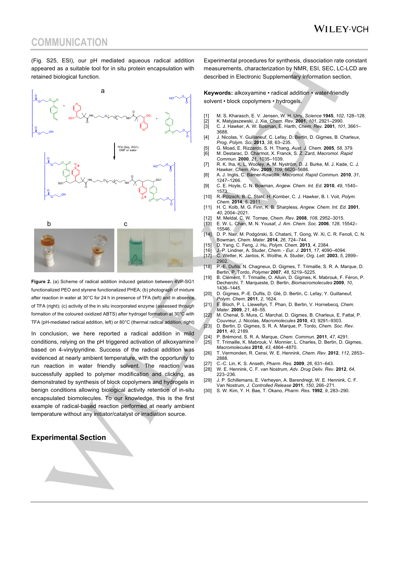#### **COMMUNICATION**

(Fig. S25, ESI), our pH mediated aqueous radical addition appeared as a suitable tool for in situ protein encapsulation with retained biological function.



**Figure 2.** (a) Scheme of radical addition induced gelation between 4VP-SG1 functionalized PEO and styrene functionalized PHEA; (b) photograph of mixture after reaction in water at 30°C for 24 h in presence of TFA (left) and in absence of TFA (right); (c) activity of the in situ incorporated enzyme (assessed through formation of the coloured oxidized ABTS) after hydrogel formation at 30°C with TFA (pH-mediated radical addition, left) or 80°C (thermal radical addition, right)

In conclusion, we here reported a radical addition in mild conditions, relying on the pH triggered activation of alkoxyamine based on 4-vinylpyridine. Success of the radical addition was evidenced at nearly ambient temperature, with the opportunity to run reaction in water friendly solvent. The reaction was successfully applied to polymer modification and clicking, as demonstrated by synthesis of block copolymers and hydrogels in benign conditions allowing biological activity retention of in-situ encapsulated biomolecules. To our knowledge, this is the first example of radical-based reaction performed at nearly ambient temperature without any initiator/catalyst or irradiation source.

#### **Experimental Section**

Experimental procedures for synthesis, dissociation rate constant measurements, characterization by NMR, ESI, SEC, LC-LCD are described in Electronic Supplementary Information section.

**Keywords:** alkoxyamine • radical addition • water-friendly solvent • block copolymers • hydrogels.

- 
- [1] M. S. Kharasch, E. V. Jensen, W. H. Urry, *Science* **1945**, *102*, 128–128. [2] K. Matyjaszewski, J. Xia, *Chem. Rev.* **2001**, *101*, 2921–2990. [3] C. J. Hawker, A. W. Bosman, E. Harth, *Chem. Rev.* **2001**, *101*, 3661– 3688.
- [4] J. Nicolas, Y. Guillaneuf, C. Lefay, D. Bertin, D. Gigmes, B. Charleux, *Prog. Polym. Sci.* **2013**, *38*, 63–235.
- [5] G. Moad, E. Rizzardo, S. H. Thang, *Aust. J. Chem.* **2005**, *58*, 379.
- [6] M. Destarac, D. Charmot, X. Franck, S. Z. Zard, *Macromol. Rapid*
- *Commun.* **2000**, *21*, 1035–1039. [7] R. K. Iha, K. L. Wooley, A. M. Nyström, D. J. Burke, M. J. Kade, C. J. Hawker, *Chem. Rev.* **2009**, *109*, 5620–5686.
- [8] A. J. Inglis, C. Barner-Kowollik, *Macromol. Rapid Commun.* **2010**, *31*, 1247–1266. [9] C. E. Hoyle, C. N. Bowman, *Angew. Chem. Int. Ed.* **2010**, *49*, 1540–
- 1573. [10] R. Pötzsch, B. C. Stahl, H. Komber, C. J. Hawker, B. I. Voit, *Polym.*
- *Chem.* **2014**, *5*, 2911. [11] H. C. Kolb, M. G. Finn, K. B. Sharpless, *Angew. Chem. Int. Ed.* **2001**,
- *40*, 2004–2021.
- [12] M. Meldal, C. W. Tornøe, *Chem. Rev.* **2008**, *108*, 2952–3015. [13] E. W. L. Chan, M. N. Yousaf, *J. Am. Chem. Soc.* **2006**, *128*, 15542–
- 15546. [14] D. P. Nair, M. Podgórski, S. Chatani, T. Gong, W. Xi, C. R. Fenoli, C. N.
- Bowman, *Chem. Mater.* **2014**, *26*, 724–744.
- [15] D. Yang, C. Feng, J. Hu, *Polym. Chem.* **2013**, *4*, 2384.
- [16] J.-P. Lindner, A. Studer, *Chem. - Eur. J.* **2011**, *17*, 4090–4094. [17] C. Wetter, K. Jantos, K. Woithe, A. Studer, *Org. Lett.* **2003**, *5*, 2899–
- 2902. [18] P.-E. Dufils, N. Chagneux, D. Gigmes, T. Trimaille, S. R. A. Marque, D.
- Bertin, P. Tordo, *Polymer* **2007**, *48*, 5219–5225. [19] B. Clément, T. Trimaille, O. Alluin, D. Gigmes, K. Mabrouk, F. Féron, P. Decherchi, T. Marqueste, D. Bertin, *Biomacromolecules* **2009**, *10*,
- 1436–1445. [20] D. Gigmes, P.-E. Dufils, D. Glé, D. Bertin, C. Lefay, Y. Guillaneuf,
- *Polym. Chem.* **2011**, *2*, 1624. [21] E. Bloch, P. L. Llewellyn, T. Phan, D. Bertin, V. Hornebecq, *Chem.*
- *Mater.* **2009**, *21*, 48–55.
- [22] M. Chenal, S. Mura, C. Marchal, D. Gigmes, B. Charleux, E. Fattal, P. Couvreur, J. Nicolas, *Macromolecules* **2010**, *43*, 9291–9303. [23] D. Bertin, D. Gigmes, S. R. A. Marque, P. Tordo, *Chem. Soc. Rev.*
- **2011**, *40*, 2189.
- [24] P. Brémond, S. R. A. Marque, *Chem. Commun.* **2011**, *47*, 4291.
- [25] T. Trimaille, K. Mabrouk, V. Monnier, L. Charles, D. Bertin, D. Gigmes, *Macromolecules* **2010**, *43*, 4864–4870.
- [26] T. Vermonden, R. Censi, W. E. Hennink, *Chem. Rev.* **2012**, *112*, 2853– 2888.
- 
- [27] C.-C. Lin, K. S. Anseth, *Pharm. Res.* **2009**, *26*, 631–643. [28] W. E. Hennink, C. F. van Nostrum, *Adv. Drug Deliv. Rev.* **2012**, *64*, 223–236.
- [29] J. P. Schillemans, E. Verheyen, A. Barendregt, W. E. Hennink, C. F. Van Nostrum, *J. Controlled Release* **2011**, *150*, 266–271.
- [30] S. W. Kim, Y. H. Bae, T. Okano, *Pharm. Res.* **1992**, *9*, 283–290.